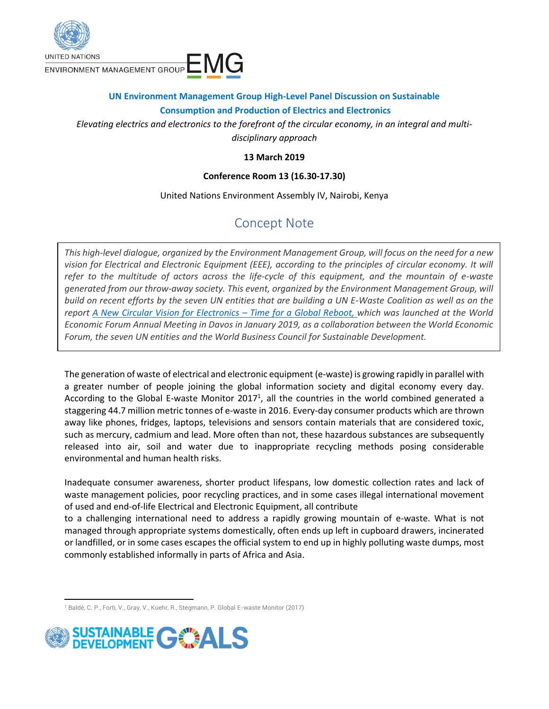

## **UN Environment Management Group High-Level Panel Discussion on Sustainable Consumption and Production of Electrics and Electronics**

*Elevating electrics and electronics to the forefront of the circular economy, in an integral and multidisciplinary approach*

### **13 March 2019**

#### **Conference Room 13 (16.30-17.30)**

United Nations Environment Assembly IV, Nairobi, Kenya

# Concept Note

*This high-level dialogue, organized by the Environment Management Group, will focus on the need for a new vision for Electrical and Electronic Equipment (EEE), according to the principles of circular economy. It will refer to the multitude of actors across the life-cycle of this equipment, and the mountain of e-waste generated from our throw-away society. This event, organized by the Environment Management Group, will build on recent efforts by the seven UN entities that are building a UN E-Waste Coalition as well as on the report [A New Circular Vision for Electronics](https://www.weforum.org/reports/a-new-circular-vision-for-electronics-time-for-a-global-reboot) – Time for a Global Reboot, which was launched at the World Economic Forum Annual Meeting in Davos in January 2019, as a collaboration between the World Economic Forum, the seven UN entities and the World Business Council for Sustainable Development.*

The generation of waste of electrical and electronic equipment (e-waste) is growing rapidly in parallel with a greater number of people joining the global information society and digital economy every day. According to the Global E-waste Monitor 2017<sup>1</sup>, all the countries in the world combined generated a staggering 44.7 million metric tonnes of e-waste in 2016. Every-day consumer products which are thrown away like phones, fridges, laptops, televisions and sensors contain materials that are considered toxic, such as mercury, cadmium and lead. More often than not, these hazardous substances are subsequently released into air, soil and water due to inappropriate recycling methods posing considerable environmental and human health risks.

Inadequate consumer awareness, shorter product lifespans, low domestic collection rates and lack of waste management policies, poor recycling practices, and in some cases illegal international movement of used and end-of-life Electrical and Electronic Equipment, all contribute

to a challenging international need to address a rapidly growing mountain of e-waste. What is not managed through appropriate systems domestically, often ends up left in cupboard drawers, incinerated or landfilled, or in some cases escapes the official system to end up in highly polluting waste dumps, most commonly established informally in parts of Africa and Asia.

 $\overline{\phantom{a}}$ <sup>1</sup> Baldé, C. P., Forti, V., Gray, V., Kuehr, R., Stegmann, P. Global E-waste Monitor (2017)

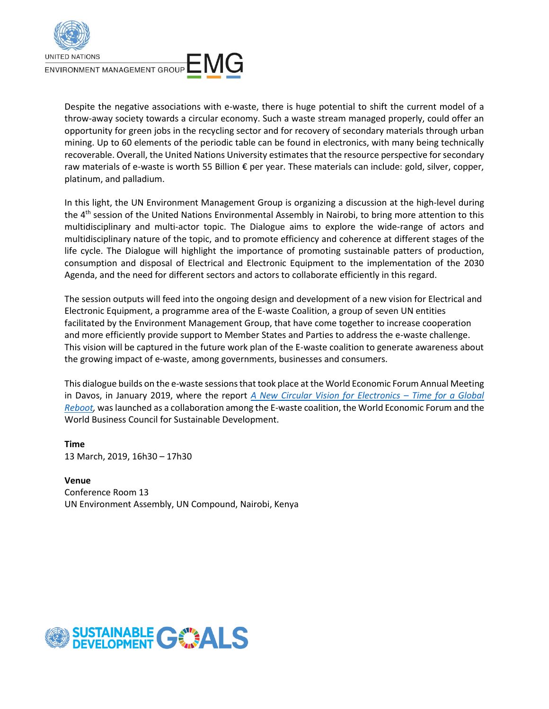

Despite the negative associations with e-waste, there is huge potential to shift the current model of a throw-away society towards a circular economy. Such a waste stream managed properly, could offer an opportunity for green jobs in the recycling sector and for recovery of secondary materials through urban mining. Up to 60 elements of the periodic table can be found in electronics, with many being technically recoverable. Overall, the United Nations University estimates that the resource perspective for secondary raw materials of e-waste is worth 55 Billion € per year. These materials can include: gold, silver, copper, platinum, and palladium.

In this light, the UN Environment Management Group is organizing a discussion at the high-level during the 4<sup>th</sup> session of the United Nations Environmental Assembly in Nairobi, to bring more attention to this multidisciplinary and multi-actor topic. The Dialogue aims to explore the wide-range of actors and multidisciplinary nature of the topic, and to promote efficiency and coherence at different stages of the life cycle. The Dialogue will highlight the importance of promoting sustainable patters of production, consumption and disposal of Electrical and Electronic Equipment to the implementation of the 2030 Agenda, and the need for different sectors and actors to collaborate efficiently in this regard.

The session outputs will feed into the ongoing design and development of a new vision for Electrical and Electronic Equipment, a programme area of the E-waste Coalition, a group of seven UN entities facilitated by the Environment Management Group, that have come together to increase cooperation and more efficiently provide support to Member States and Parties to address the e-waste challenge. This vision will be captured in the future work plan of the E-waste coalition to generate awareness about the growing impact of e-waste, among governments, businesses and consumers.

This dialogue builds on the e-waste sessions that took place at the World Economic Forum Annual Meeting in Davos, in January 2019, where the report *[A New Circular Vision for Electronics](https://www.weforum.org/reports/a-new-circular-vision-for-electronics-time-for-a-global-reboot) – Time for a Global [Reboot,](https://www.weforum.org/reports/a-new-circular-vision-for-electronics-time-for-a-global-reboot)* was launched as a collaboration among the E-waste coalition, the World Economic Forum and the World Business Council for Sustainable Development.

**Time** 13 March, 2019, 16h30 – 17h30

**Venue** Conference Room 13 UN Environment Assembly, UN Compound, Nairobi, Kenya